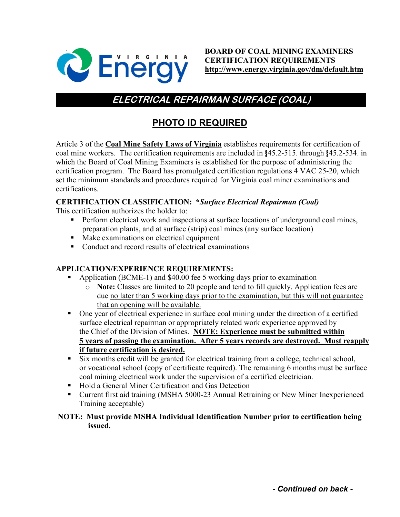

# **ELECTRICAL REPAIRMAN SURFACE (COAL)**

# **PHOTO ID REQUIRED**

Article 3 of the **Coal Mine Safety Laws of Virginia** establishes requirements for certification of coal mine workers. The certification requirements are included in §45.2-515. through §45.2-534. in which the Board of Coal Mining Examiners is established for the purpose of administering the certification program. The Board has promulgated certification regulations 4 VAC 25-20, which set the minimum standards and procedures required for Virginia coal miner examinations and certifications.

# **CERTIFICATION CLASSIFICATION: \****Surface Electrical Repairman (Coal)*

This certification authorizes the holder to:

- **Perform electrical work and inspections at surface locations of underground coal mines,** preparation plants, and at surface (strip) coal mines (any surface location)
- Make examinations on electrical equipment
- Conduct and record results of electrical examinations

## **APPLICATION/EXPERIENCE REQUIREMENTS:**

- Application (BCME-1) and \$40.00 fee 5 working days prior to examination
	- o **Note:** Classes are limited to 20 people and tend to fill quickly. Application fees are due no later than 5 working days prior to the examination, but this will not guarantee that an opening will be available.
- One year of electrical experience in surface coal mining under the direction of a certified surface electrical repairman or appropriately related work experience approved by the Chief of the Division of Mines. **NOTE: Experience must be submitted within 5 years of passing the examination. After 5 years records are destroyed. Must reapply if future certification is desired.**
- Six months credit will be granted for electrical training from a college, technical school, or vocational school (copy of certificate required). The remaining 6 months must be surface coal mining electrical work under the supervision of a certified electrician.
- Hold a General Miner Certification and Gas Detection
- Current first aid training (MSHA 5000-23 Annual Retraining or New Miner Inexperienced Training acceptable)

## **NOTE: Must provide MSHA Individual Identification Number prior to certification being issued.**